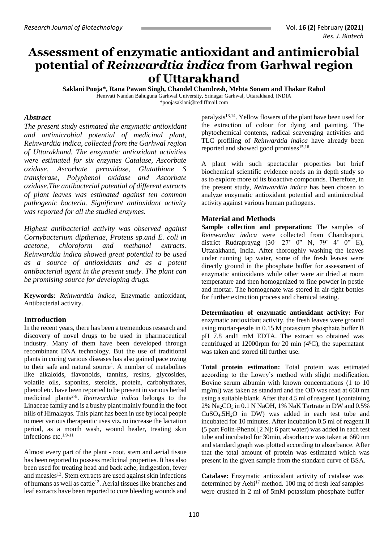# **Assessment of enzymatic antioxidant and antimicrobial potential of** *Reinwardtia indica* **from Garhwal region of Uttarakhand**

**Saklani Pooja\*, Rana Pawan Singh, Chandel Chandresh, Mehta Sonam and Thakur Rahul** Hemvati Nandan Bahuguna Garhwal University, Srinagar Garhwal, Uttarakhand, INDIA [\\*poojasaklani@rediffmail.com](mailto:poojasaklani@rediffmail.com)

### *Abstract*

*The present study estimated the enzymatic antioxidant and antimicrobial potential of medicinal plant, Reinwardtia indica, collected from the Garhwal region of Uttarakhand. The enzymatic antioxidant activities were estimated for six enzymes Catalase, Ascorbate oxidase, Ascorbate peroxidase, Glutathione S transferase, Polyphenol oxidase and Ascorbate oxidase.The antibacterial potential of different extracts of plant leaves was estimated against ten common pathogenic bacteria. Significant antioxidant activity was reported for all the studied enzymes.* 

*Highest antibacterial activity was observed against Cornybacterium diptheriae, Proteus sp.and E. coli in acetone, chloroform and methanol extracts. Reinwardtia indica showed great potential to be used as a source of antioxidants and as a potent antibacterial agent in the present study. The plant can be promising source for developing drugs.*

**Keywords**: *Reinwardtia indica,* Enzymatic antioxidant, Antibacterial activity.

## **Introduction**

In the recent years, there has been a tremendous research and discovery of novel drugs to be used in pharmaceutical industry. Many of them have been developed through recombinant DNA technology. But the use of traditional plants in curing various diseases has also gained pace owing to their safe and natural source<sup>1</sup>. A number of metabolites like alkaloids, flavonoids, tannins, resins, glycosides, volatile oils, saponins, steroids, protein, carbohydrates, phenol etc. have been reported to be present in various herbal medicinal plants<sup>2-8</sup>. *Reinwardtia indica* belongs to the Linaceae family and is a bushy plant mainly found in the foot hills of Himalayas. This plant has been in use by local people to meet various therapeutic uses viz*.* to increase the lactation period, as a mouth wash, wound healer, treating skin infections etc.1,9-11

Almost every part of the plant - root, stem and aerial tissue has been reported to possess medicinal properties. It has also been used for treating head and back ache, indigestion, fever and measles<sup>12</sup>. Stem extracts are used against skin infections of humans as well as cattle<sup>13</sup>. Aerial tissues like branches and leaf extracts have been reported to cure bleeding wounds and

paralysis13,14. Yellow flowers of the plant have been used for the extraction of colour for dying and painting. The phytochemical contents, radical scavenging activities and TLC profiling of *Reinwardtia indica* have already been reported and showed good promises<sup>15,16</sup>.

A plant with such spectacular properties but brief biochemical scientific evidence needs an in depth study so as to explore more of its bioactive compounds. Therefore, in the present study, *Reinwardtia indica* has been chosen to analyze enzymatic antioxidant potential and antimicrobial activity against various human pathogens.

#### **Material and Methods**

**Sample collection and preparation:** The samples of *Reinwardtia indica* were collected from Chandrapuri, district Rudraprayag (30˚ 27' 0" N, 79˚ 4' 0" E), Uttarakhand, India. After thoroughly washing the leaves under running tap water, some of the fresh leaves were directly ground in the phosphate buffer for assessment of enzymatic antioxidants while other were air dried at room temperature and then homogenized to fine powder in pestle and mortar. The homogenate was stored in air-tight bottles for further extraction process and chemical testing.

**Determination of enzymatic antioxidant activity:** For enzymatic antioxidant activity, the fresh leaves were ground using mortar-pestle in 0.15 M potassium phosphate buffer В pH 7.8 and1 mM EDTA. The extract so obtained was centrifuged at 12000rpm for 20 min (4<sup>0</sup>C), the supernatant was taken and stored till further use.

**Total protein estimation:** Total protein was estimated according to the Lowry's method with slight modification. Bovine serum albumin with known concentrations (1 to 10 mg/ml) was taken as standard and the OD was read at 660 nm using a suitable blank. After that 4.5 ml of reagent I (containing 2% Na2CO3 in 0.1 N NaOH, 1% NaK Tartrate in DW and 0.5% CuSO4.5H2O in DW) was added in each test tube and incubated for 10 minutes. After incubation 0.5 ml of reagent II **(**5 part Folin-Phenol [2 N]: 6 part water) was added in each test tube and incubated for 30min, absorbance was taken at 660 nm and standard graph was plotted according to absorbance. After that the total amount of protein was estimated which was present in the given sample from the standard curve of BSA.

**Catalase:** Enzymatic antioxidant activity of catalase was determined by Aebi<sup>17</sup> method. 100 mg of fresh leaf samples were crushed in 2 ml of 5mM potassium phosphate buffer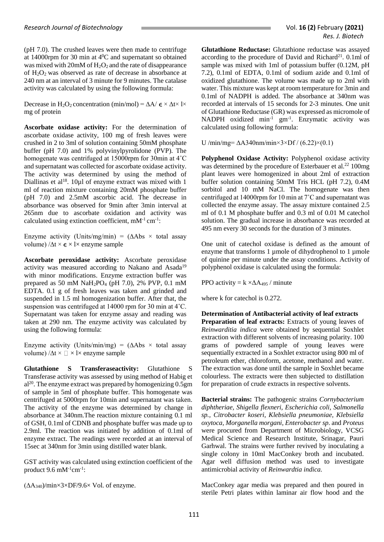(pH 7.0). The crushed leaves were then made to centrifuge at 14000rpm for 30 min at  $4^0C$  and supernatant so obtained was mixed with  $20mM$  of  $H_2O_2$  and the rate of disappearance of H2O2 was observed as rate of decrease in absorbance at 240 nm at an interval of 3 minute for 9 minutes. The catalase activity was calculated by using the following formula:

Decrease in H<sub>2</sub>O<sub>2</sub> concentration (min/mol) =  $\Delta A / \epsilon \times \Delta t \times 1 \times$ mg of protein

**Ascorbate oxidase activity:** For the determination of ascorbate oxidase activity, 100 mg of fresh leaves were crushed in 2 to 3ml of solution containing 50mM phosphate buffer (pH 7.0) and 1% polyvinylpyrolidone (PVP). The homogenate was centrifuged at 15000rpm for 30min at 4˚C and supernatant was collected for ascorbate oxidase activity. The activity was determined by using the method of Diallinas et al<sup>18</sup>. 10 $\mu$ l of enzyme extract was mixed with 1 ml of reaction mixture containing 20mM phosphate buffer (pH 7.0) and 2.5mM ascorbic acid. The decrease in absorbance was observed for 9min after 3min interval at 265nm due to ascorbate oxidation and activity was calculated using extinction coefficient,  $mM^{-1}$  cm<sup>-1</sup>:

Enzyme activity (Units/mg/min) =  $(\Delta \text{Abs} \times \text{total} \text{ assay})$ volume)  $/\Delta t \times \epsilon \times 1 \times$  enzyme sample

**Ascorbate peroxidase activity:** Ascorbate peroxidase activity was measured according to Nakano and Asada<sup>19</sup> with minor modifications. Enzyme extraction buffer was prepared as 50 mM NaH2PO<sup>4</sup> (pH 7.0), 2% PVP, 0.1 mM EDTA. 0.1 g of fresh leaves was taken and grinded and suspended in 1.5 ml homogenization buffer. After that, the suspension was centrifuged at 14000 rpm for 30 min at 4˚C. Supernatant was taken for enzyme assay and reading was taken at 290 nm. The enzyme activity was calculated by using the following formula:

Enzyme activity (Units/min/mg) =  $(\Delta \text{Abs} \times \text{total} \text{ assay})$ volume)  $/\Delta t \times \Box \times l \times$  enzyme sample

**Glutathione S Transferaseactivity:** Glutathione S Transferase activity was assessed by using method of Habig et  $al^{20}$ . The enzyme extract was prepared by homogenizing 0.5gm of sample in 5ml of phosphate buffer. This homogenate was centrifuged at 5000rpm for 10min and supernatant was taken. The activity of the enzyme was determined by change in absorbance at 340nm.The reaction mixture containing 0.1 ml of GSH, 0.1ml of CDNB and phosphate buffer was made up to 2.9ml. The reaction was initiated by addition of 0.1ml of enzyme extract. The readings were recorded at an interval of 15sec at 340nm for 3min using distilled water blank.

GST activity was calculated using extinction coefficient of the product  $9.6 \text{ mM}^{-1} \text{cm}^{-1}$ :

 $(\Delta A_{340})$ /min×3×DF/9.6× Vol. of enzyme.

**Glutathione Reductase:** Glutathione reductase was assayed according to the procedure of David and Richard<sup>21</sup>.  $0.1$ ml of sample was mixed with 1ml of potassium buffer  $(0.12M, pH)$ 7.2), 0.1ml of EDTA, 0.1ml of sodium azide and 0.1ml of oxidized glutathione. The volume was made up to 2ml with water. This mixture was kept at room temperature for 3min and 0.1ml of NADPH is added. The absorbance at 340nm was recorded at intervals of 15 seconds for 2-3 minutes. One unit of Glutathione Reductase (GR) was expressed as micromole of NADPH oxidized min<sup>-1</sup> gm<sup>-1</sup>. Enzymatic activity was calculated using following formula:

U /min/mg=  $\Delta$ A340nm/min×3×Df / (6.22)×(0.1)

**Polyphenol Oxidase Activity:** Polyphenol oxidase activity was determined by the procedure of Esterbauer et al.<sup>22</sup> 100mg plant leaves were homogenized in about 2ml of extraction buffer solution containing 50mM Tris HCL (pH 7.2), 0.4M sorbitol and 10 mM NaCl. The homogenate was then centrifuged at 14000rpm for 10 min at 7˚C and supernatant was collected the enzyme assay. The assay mixture contained 2.5 ml of 0.1 M phosphate buffer and 0.3 ml of 0.01 M catechol solution. The gradual increase in absorbance was recorded at 495 nm every 30 seconds for the duration of 3 minutes.

One unit of catechol oxidase is defined as the amount of enzyme that transforms 1 umole of dihydrophenol to 1 umole of quinine per minute under the assay conditions. Activity of polyphenol oxidase is calculated using the formula:

PPO activity =  $k \times \Delta A_{495}$  / minute

where k for catechol is 0.272.

**Determination of Antibacterial activity of leaf extracts Preparation of leaf extracts:** Extracts of young leaves of *Reinwarditia indica* were obtained by sequential Soxhlet extraction with different solvents of increasing polarity. 100 grams of powdered sample of young leaves were sequentially extracted in a Soxhlet extractor using 800 ml of petroleum ether, chloroform, acetone, methanol and water. The extraction was done until the sample in Soxhlet became colourless. The extracts were then subjected to distillation for preparation of crude extracts in respective solvents.

**Bacterial strains:** The pathogenic strains *Cornybacterium diphtheriae, Shigella flexneri, Escherichia coli, Salmonella sp., Citrobacter koseri, Klebsiella pneumoniae, Klebsiella oxytoca, Morganella morgani, Enterobacter sp*. and *Proteus* were procured from Department of Microbiology, VCSG Medical Science and Research Institute, Srinagar, Pauri Garhwal. The strains were further revived by inoculating a single colony in 10ml MacConkey broth and incubated. Agar well diffusion method was used to investigate antimicrobial activity of *Reinwardtia indica.*

MacConkey agar media was prepared and then poured in sterile Petri plates within laminar air flow hood and the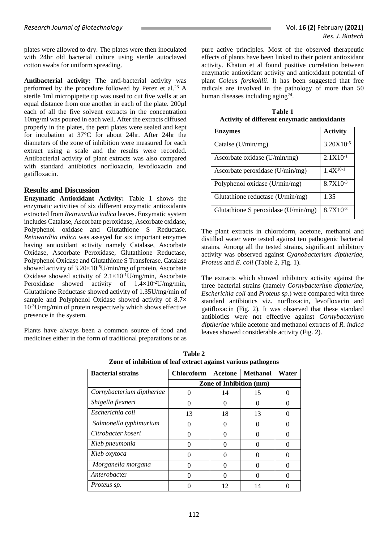plates were allowed to dry. The plates were then inoculated with 24hr old bacterial culture using sterile autoclaved cotton swabs for uniform spreading.

**Antibacterial activity:** The anti-bacterial activity was performed by the procedure followed by Perez et al. <sup>23</sup> A sterile 1ml micropipette tip was used to cut five wells at an equal distance from one another in each of the plate. 200µl each of all the five solvent extracts in the concentration 10mg/ml was poured in each well. After the extracts diffused properly in the plates, the petri plates were sealed and kept for incubation at 37°C for about 24hr. After 24hr the diameters of the zone of inhibition were measured for each extract using a scale and the results were recorded. Antibacterial activity of plant extracts was also compared with standard antibiotics norfloxacin, levofloxacin and gatifloxacin.

## **Results and Discussion**

**Enzymatic Antioxidant Activity:** Table 1 shows the enzymatic activities of six different enzymatic antioxidants extracted from *Reinwardtia indica* leaves. Enzymatic system includes Catalase, Ascorbate peroxidase, Ascorbate oxidase, Polyphenol oxidase and Glutathione S Reductase. *Reinwardtia indica* was assayed for six important enzymes having antioxidant activity namely Catalase, Ascorbate Oxidase, Ascorbate Peroxidase, Glutathione Reductase, Polyphenol Oxidase and Glutathione S Transferase. Catalase showed activity of  $3.20\times10^{-5}$ U/min/mg of protein, Ascorbate Oxidase showed activity of  $2.1 \times 10^{-1}$ U/mg/min, Ascorbate Peroxidase showed activity of  $1.4 \times 10^{-2}$ U/mg/min, Glutathione Reductase showed activity of 1.35U/mg/min of sample and Polyphenol Oxidase showed activity of 8.7×  $10^{-3}$ U/mg/min of protein respectively which shows effective presence in the system.

Plants have always been a common source of food and medicines either in the form of traditional preparations or as pure active principles. Most of the observed therapeutic effects of plants have been linked to their potent antioxidant activity. Khatun et al found positive correlation between enzymatic antioxidant activity and antioxidant potential of plant *Coleus forskohlii*. It has been suggested that free radicals are involved in the pathology of more than 50 human diseases including aging $^{24}$ .

**Table 1 Activity of different enzymatic antioxidants**

| <b>Enzymes</b>                        | <b>Activity</b> |
|---------------------------------------|-----------------|
| Catalse (U/min/mg)                    | $3.20X10^{-5}$  |
| Ascorbate oxidase (U/min/mg)          | $2.1X10^{-1}$   |
| Ascorbate peroxidase (U/min/mg)       | $1.4X^{10-1}$   |
| Polyphenol oxidase (U/min/mg)         | $8.7X10^{-3}$   |
| Glutathione reductase $(U/min/mg)$    | 1.35            |
| Glutathione S peroxidase $(U/min/mg)$ | $8.7X10^{-3}$   |

The plant extracts in chloroform, acetone, methanol and distilled water were tested against ten pathogenic bacterial strains. Among all the tested strains, significant inhibitory activity was observed against *Cyanobacterium diptheriae, Proteus* and *E. coli* (Table 2, Fig. 1).

The extracts which showed inhibitory activity against the three bacterial strains (namely *Cornybacterium diptheriae*, *Escherichia coli* and *Proteus sp.*) were compared with three standard antibiotics viz. norfloxacin, levofloxacin and gatifloxacin (Fig. 2). It was observed that these standard antibiotics were not effective against *Cornybacterium diptheriae* while acetone and methanol extracts of *R. indica* leaves showed considerable activity (Fig. 2).

| <b>Bacterial strains</b>  | <b>Chloroform</b>              | Acetone | <b>Methanol</b> | Water |
|---------------------------|--------------------------------|---------|-----------------|-------|
|                           | <b>Zone of Inhibition (mm)</b> |         |                 |       |
| Cornybacterium diptheriae | 0                              | 14      | 15              | 0     |
| Shigella flexneri         |                                |         |                 | 0     |
| Escherichia coli          | 13                             | 18      | 13              |       |
| Salmonella typhimurium    |                                | 0       |                 |       |
| Citrobacter koseri        |                                |         |                 |       |
| Kleb pneumonia            |                                |         |                 |       |
| Kleb oxytoca              |                                |         |                 | 0     |
| Morganella morgana        |                                | 0       | 0               | 0     |
| Anterobacter              |                                | 0       |                 |       |
| Proteus sp.               |                                | 12      | 14              |       |

**Table 2 Zone of inhibition of leaf extract against various pathogens**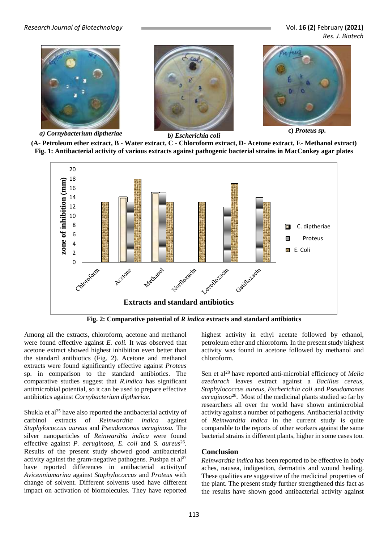*Research Journal of Biotechnology* Vol. **16 (2)** February **(2021)**

*Res. J. Biotech*



*a) Cornybacterium diptheriae b) Escherichia coli*





**c)** *Proteus sp.*

**(A- Petroleum ether extract, B - Water extract, C - Chloroform extract, D- Acetone extract, E- Methanol extract) Fig. 1: Antibacterial activity of various extracts against pathogenic bacterial strains in MacConkey agar plates**



**Fig. 2: Comparative potential of** *R indica* **extracts and standard antibiotics**

Among all the extracts, chloroform, acetone and methanol were found effective against *E. coli.* It was observed that acetone extract showed highest inhibition even better than the standard antibiotics (Fig. 2). Acetone and methanol extracts were found significantly effective against *Proteus*  sp. in comparison to the standard antibiotics. The comparative studies suggest that *R.indica* has significant antimicrobial potential, so it can be used to prepare effective antibiotics against *Cornybacterium diptheriae*.

Shukla et al<sup>25</sup> have also reported the antibacterial activity of carbinol extracts of *Reinwardtia indica* against *Staphylococcus aureus* and *Pseudomonas aeruginosa.* The silver nanoparticles of *Reinwardtia indica* were found effective against *P. aeruginosa*, *E. coli* and *S. aureus*<sup>26</sup>. Results of the present study showed good antibacterial activity against the gram-negative pathogens. Pushpa et  $al^{27}$ have reported differences in antibacterial activityof *Avicenniamarina* against *Staphylococcus* and *Proteus* with change of solvent*.* Different solvents used have different impact on activation of biomolecules. They have reported highest activity in ethyl acetate followed by ethanol, petroleum ether and chloroform. In the present study highest activity was found in acetone followed by methanol and chloroform.

Sen et al<sup>28</sup> have reported anti-microbial efficiency of *Melia azedarach* leaves extract against a *Bacillus cereus, Staphylococcus aureus, Escherichia coli* and *Pseudomonas aeruginosa*<sup>28</sup> *.* Most of the medicinal plants studied so far by researchers all over the world have shown antimicrobial activity against a number of pathogens. Antibacterial activity of *Reinwardtia indica* in the current study is quite comparable to the reports of other workers against the same bacterial strains in different plants, higher in some cases too.

## **Conclusion**

*Reinwardtia indica* has been reported to be effective in body aches, nausea, indigestion, dermatitis and wound healing. These qualities are suggestive of the medicinal properties of the plant. The present study further strengthened this fact as the results have shown good antibacterial activity against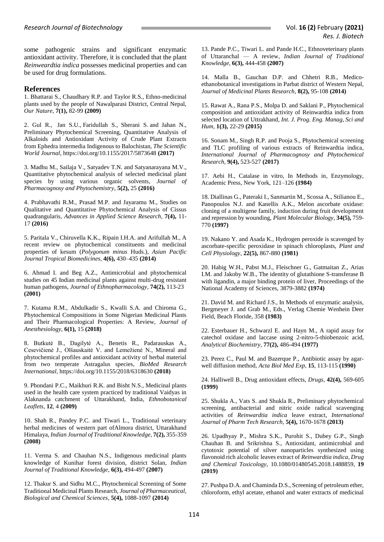some pathogenic strains and significant enzymatic antioxidant activity. Therefore, it is concluded that the plant *Reinweardtia indica* possesses medicinal properties and can be used for drug formulations.

#### **References**

1. Bhattarai S., Chaudhary R.P. and Taylor R.S., Ethno-medicinal plants used by the people of Nawalparasi District, Central Nepal, *Our Nature,* **7(1),** 82-99 **(2009)**

2. [Gul](https://www.hindawi.com/15712326/) R., [Jan](https://www.hindawi.com/48125279/) S.U., [Faridullah](https://www.hindawi.com/67297631/) S., [Sherani](https://www.hindawi.com/56405171/) S. and [Jahan](https://www.hindawi.com/83964289/) N., Preliminary Phytochemical Screening, Quantitative Analysis of Alkaloids and Antioxidant Activity of Crude Plant Extracts from Ephedra intermedia Indigenous to Balochistan, *The Scientific World Journal*,<https://doi.org/10.1155/2017/5873648> **(2017)**

3. Madhu M., Sailaja V., Satyadev T.N. and Satyanarayana M.V., Quantitative phytochemical analysis of selected medicinal plant species by using various organic solvents, *Journal of Pharmacognosy and Phytochemistry*, **5(2),** 25 **(2016)**

4. Prabhavathi R.M., Prasad M.P. and Jayaramu M., Studies on Qualitative and Quantitative Phytochemical Analysis of Cissus quadrangularis, *Advances in Applied Science Research*, **7(4),** 11- 17 **(2016)**

5. Paritala V., Chiruvella K.K., Ripain I.H.A. and Arifullah M., A recent review on phytochemical constituents and medicinal properties of kesum (*Polygonum minus* Huds.), *Asian Pacific Journal Tropical Biomedicines*, **4(6),** 430–435 **(2014)**

6. Ahmad I. and Beg A.Z., Antimicrobial and phytochemical studies on 45 Indian medicinal plants against multi-drug resistant human pathogens, *Journal of Ethnopharmacology*, **74(2),** 113-23 **(2001)**

7. Kutama R.M., Abdulkadir S., Kwalli S.A. and Chiroma G., Phytochemical Compositions in Some Nigerian Medicinal Plants and Their Pharmacological Properties: A Review, *Journal of Anesthesiology*, **6(1),** 15 **(2018)**

8. Butkutė B., Dagilytė A., Benetis R., Padarauskas A., Cesevičienė J., Olšauskaitė V. and Lemežienė N., Mineral and phytochemical profiles and antioxidant activity of herbal material from two temperate Astragalus species, *BioMed Research International*, https://doi.org/10.1155/2018/6318630 **(2018)**

9. Phondani P.C., Maikhuri R.K. and Bisht N.S., Medicinal plants used in the health care system practiced by traditional Vaidyas in Alaknanda catchment of Uttarakhand, India, *Ethnobotanical Leaflets*, **12**, 4 **(2009)**

10. Shah R., Pandey P.C. and Tiwari L., Traditional veterinary herbal medicines of western part ofAlmora district, Uttarakhand Himalaya, *Indian Journal of Traditional Knowledge*, **7(2),** 355-359 **(2008)**

11. Verma S. and Chauhan N.S., Indigenous medicinal plants knowledge of Kunihar forest division, district Solan, *Indian Journal of Traditional Knowledge*, **6(3),** 494-497 **(2007)**

12. Thakur S. and Sidhu M.C., Phytochemical Screening of Some Traditional Medicinal Plants Research, *Journal of Pharmaceutical, Biological and Chemical Sciences*, **5(4),** 1088-1097 **(2014)**

13. Pande P.C., Tiwari L. and Pande H.C., Ethnoveterinary plants of Uttaranchal — A review, *Indian Journal of Traditional Knowledge*, **6(3),** 444-458 **(2007)**

14. Malla B., Gauchan D.P. and Chhetri R.B., Medicoethanobotanical investigations in Parbat district of Western Nepal, *Journal of Medicinal Plants Research*, **8(2),** 95-108 **(2014)**

15. Rawat A., Rana P.S., Molpa D. and Saklani P., Phytochemical composition and antioxidant activity of Reinwardtia indica from selected location of Uttrakhand, *Int. J. Prog. Eng. Manag, Sci and Hum*, **1(3),** 22-29 **(2015)**

16. Sonam M., Singh R.P. and Pooja S., Phytochemical screening and TLC profiling of various extracts of Reinwardtia indica, *International Journal of Pharmacognosy and Phytochemical Research,* **9(4),** 523-527 **(2017)**

17. Aebi H., Catalase in vitro, In Methods in, Enzymology, Academic Press, New York, 121–126 **(1984)**

18. Diallinas G., Pateraki I., Sanmartin M., Scossa A., Stilianou E., Panopoulos N.J. and Kanellis A.K., Melon ascorbate oxidase: cloning of a multigene family, induction during fruit development and repression by wounding, *Plant Molecular Biology*, **34(5),** 759- 770 **(1997)**

19. Nakano Y. and Asada K., Hydrogen peroxide is scavenged by ascorbate-specific peroxidase in spinach chloroplasts, *Plant and Cell Physiology*, **22(5),** 867-880 **(1981)**

20. Habig W.H., Pabst M.J., Fleischner G., Gatmaitan Z., Arias I.M. and Jakoby W.B., The identity of glutathione S-transferase B with ligandin, a major binding protein of liver, Proceedings of the National Academy of Sciences, 3879-3882 **(1974)**

21. David M. and Richard J.S., In Methods of enzymatic analysis, Bergmeyer J. and Grab M., Eds., Verlag Chemie Wenhein Deer Field, Beach Floride, 358 **(1983)**

22. Esterbauer H., Schwarzl E. and Hayn M., A rapid assay for catechol oxidase and laccase using 2-nitro-5-thiobenzoic acid, *Analytical Biochemistry*, **77(2),** 486-494 **(1977)**

23. Perez C., Paul M. and Bazerque P., Antibiotic assay by agarwell diffusion method, *Acta Biol Med Exp*, **15**, 113-115 **(1990)**

24. Halliwell B., Drug antioxidant effects, *Drugs*, **42(4),** 569-605 **(1999)**

25. Shukla A., Vats S. and Shukla R., Preliminary phytochemical screening, antibacterial and nitric oxide radical scavenging activities of *Reinwardtia indica* leave extract, *International Journal of Pharm Tech Research*, **5(4),** 1670-1678 **(2013)**

26. Upadhyay P., Mishra S.K., Purohit S., Dubey G.P., Singh Chauhan B. and Srikrishna S., Antioxidant, antimicrobial and cytotoxic potential of silver nanoparticles synthesized using flavonoid rich alcoholic leaves extract of *Reinwardtia indica*, *Drug and Chemical Toxicology*, [10.1080/01480545.2018.1488859,](https://doi.org/10.1080/01480545.2018.1488859) **19 (2019)**

27. Pushpa D.A. and Chaminda D.S., Screening of petroleum ether, chloroform, ethyl acetate, ethanol and water extracts of medicinal